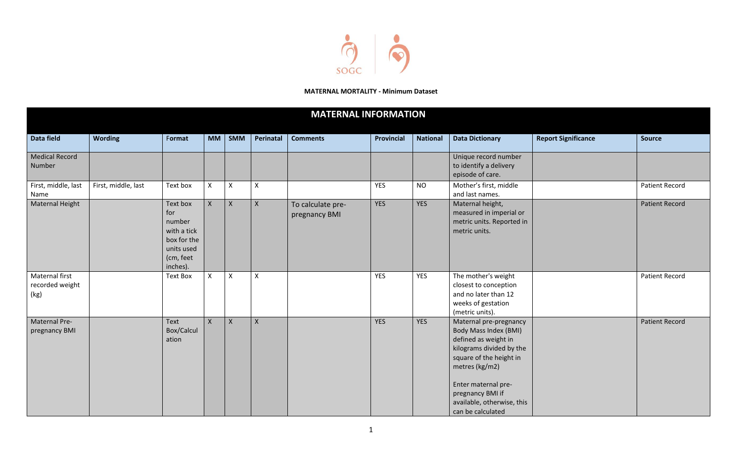

## **MATERNAL MORTALITY - Minimum Dataset**

|                                           | <b>MATERNAL INFORMATION</b> |                                                                                                |              |                |                    |                                    |            |                 |                                                                                                                                                                                                                                                |                            |                       |  |
|-------------------------------------------|-----------------------------|------------------------------------------------------------------------------------------------|--------------|----------------|--------------------|------------------------------------|------------|-----------------|------------------------------------------------------------------------------------------------------------------------------------------------------------------------------------------------------------------------------------------------|----------------------------|-----------------------|--|
| Data field                                | <b>Wording</b>              | Format                                                                                         | MM           | <b>SMM</b>     | Perinatal          | <b>Comments</b>                    | Provincial | <b>National</b> | <b>Data Dictionary</b>                                                                                                                                                                                                                         | <b>Report Significance</b> | <b>Source</b>         |  |
| <b>Medical Record</b><br>Number           |                             |                                                                                                |              |                |                    |                                    |            |                 | Unique record number<br>to identify a delivery<br>episode of care.                                                                                                                                                                             |                            |                       |  |
| First, middle, last<br>Name               | First, middle, last         | Text box                                                                                       | X            | $\mathsf{X}$   | $\mathsf{X}$       |                                    | <b>YES</b> | <b>NO</b>       | Mother's first, middle<br>and last names.                                                                                                                                                                                                      |                            | <b>Patient Record</b> |  |
| Maternal Height                           |                             | Text box<br>for<br>number<br>with a tick<br>box for the<br>units used<br>(cm, feet<br>inches). | $\mathsf{X}$ | $\pmb{\times}$ | $\mathsf{x}$       | To calculate pre-<br>pregnancy BMI | YES        | <b>YES</b>      | Maternal height,<br>measured in imperial or<br>metric units. Reported in<br>metric units.                                                                                                                                                      |                            | <b>Patient Record</b> |  |
| Maternal first<br>recorded weight<br>(kg) |                             | <b>Text Box</b>                                                                                | $\mathsf{X}$ | $\mathsf{X}$   | $\pmb{\mathsf{X}}$ |                                    | YES        | YES             | The mother's weight<br>closest to conception<br>and no later than 12<br>weeks of gestation<br>(metric units).                                                                                                                                  |                            | <b>Patient Record</b> |  |
| <b>Maternal Pre-</b><br>pregnancy BMI     |                             | Text<br>Box/Calcul<br>ation                                                                    | $\mathsf{X}$ | $\sf X$        | $\pmb{\times}$     |                                    | <b>YES</b> | <b>YES</b>      | Maternal pre-pregnancy<br>Body Mass Index (BMI)<br>defined as weight in<br>kilograms divided by the<br>square of the height in<br>metres (kg/m2)<br>Enter maternal pre-<br>pregnancy BMI if<br>available, otherwise, this<br>can be calculated |                            | <b>Patient Record</b> |  |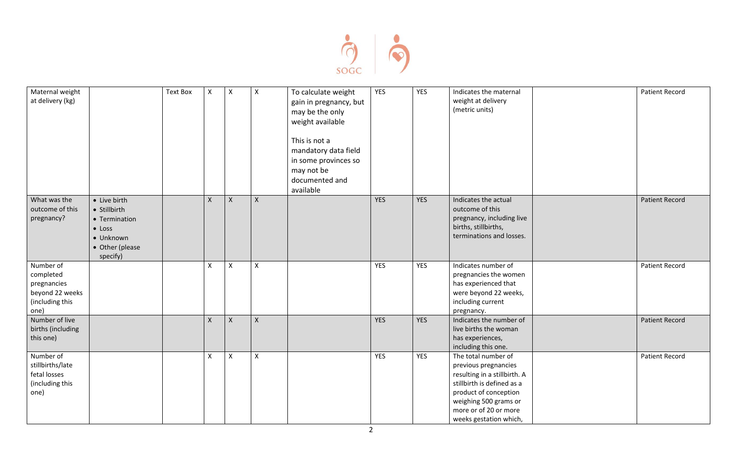

| Maternal weight<br>at delivery (kg)                                                 |                                                                                                             | <b>Text Box</b> | X | $\boldsymbol{\mathsf{X}}$ | X                  | To calculate weight<br>gain in pregnancy, but<br>may be the only<br>weight available<br>This is not a<br>mandatory data field<br>in some provinces so<br>may not be<br>documented and<br>available | YES        | <b>YES</b> | Indicates the maternal<br>weight at delivery<br>(metric units)                                                                                                                                                 | <b>Patient Record</b> |
|-------------------------------------------------------------------------------------|-------------------------------------------------------------------------------------------------------------|-----------------|---|---------------------------|--------------------|----------------------------------------------------------------------------------------------------------------------------------------------------------------------------------------------------|------------|------------|----------------------------------------------------------------------------------------------------------------------------------------------------------------------------------------------------------------|-----------------------|
| What was the<br>outcome of this<br>pregnancy?                                       | • Live birth<br>• Stillbirth<br>• Termination<br>$\bullet$ Loss<br>• Unknown<br>• Other (please<br>specify) |                 | X | $\mathsf X$               | $\mathsf{X}$       |                                                                                                                                                                                                    | <b>YES</b> | <b>YES</b> | Indicates the actual<br>outcome of this<br>pregnancy, including live<br>births, stillbirths,<br>terminations and losses.                                                                                       | <b>Patient Record</b> |
| Number of<br>completed<br>pregnancies<br>beyond 22 weeks<br>(including this<br>one) |                                                                                                             |                 | X | $\pmb{\mathsf{X}}$        | $\pmb{\mathsf{X}}$ |                                                                                                                                                                                                    | <b>YES</b> | <b>YES</b> | Indicates number of<br>pregnancies the women<br>has experienced that<br>were beyond 22 weeks,<br>including current<br>pregnancy.                                                                               | <b>Patient Record</b> |
| Number of live<br>births (including<br>this one)                                    |                                                                                                             |                 | X | $\pmb{\mathsf{X}}$        | $\pmb{\times}$     |                                                                                                                                                                                                    | <b>YES</b> | <b>YES</b> | Indicates the number of<br>live births the woman<br>has experiences,<br>including this one.                                                                                                                    | <b>Patient Record</b> |
| Number of<br>stillbirths/late<br>fetal losses<br>(including this<br>one)            |                                                                                                             |                 | X | $\pmb{\mathsf{X}}$        | $\mathsf{x}$       |                                                                                                                                                                                                    | <b>YES</b> | <b>YES</b> | The total number of<br>previous pregnancies<br>resulting in a stillbirth. A<br>stillbirth is defined as a<br>product of conception<br>weighing 500 grams or<br>more or of 20 or more<br>weeks gestation which, | <b>Patient Record</b> |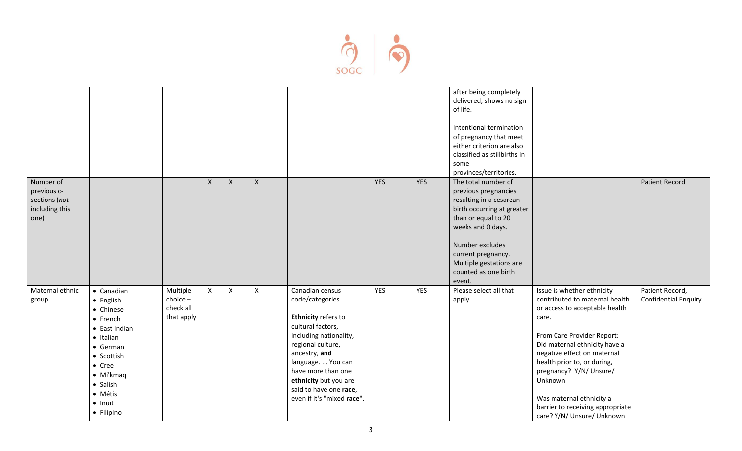

|                                                                     |                                                                                                                                                                                                         |                                                   |                |                |                  |                                                                                                                                                                                                                                                                                    |            |            | after being completely<br>delivered, shows no sign<br>of life.<br>Intentional termination<br>of pregnancy that meet<br>either criterion are also<br>classified as stillbirths in<br>some<br>provinces/territories.                                     |                                                                                                                                                                                                                                                                                                                                                                          |                                                |
|---------------------------------------------------------------------|---------------------------------------------------------------------------------------------------------------------------------------------------------------------------------------------------------|---------------------------------------------------|----------------|----------------|------------------|------------------------------------------------------------------------------------------------------------------------------------------------------------------------------------------------------------------------------------------------------------------------------------|------------|------------|--------------------------------------------------------------------------------------------------------------------------------------------------------------------------------------------------------------------------------------------------------|--------------------------------------------------------------------------------------------------------------------------------------------------------------------------------------------------------------------------------------------------------------------------------------------------------------------------------------------------------------------------|------------------------------------------------|
| Number of<br>previous c-<br>sections (not<br>including this<br>one) |                                                                                                                                                                                                         |                                                   | $\pmb{\times}$ | $\mathsf X$    | $\boldsymbol{X}$ |                                                                                                                                                                                                                                                                                    | <b>YES</b> | <b>YES</b> | The total number of<br>previous pregnancies<br>resulting in a cesarean<br>birth occurring at greater<br>than or equal to 20<br>weeks and 0 days.<br>Number excludes<br>current pregnancy.<br>Multiple gestations are<br>counted as one birth<br>event. |                                                                                                                                                                                                                                                                                                                                                                          | <b>Patient Record</b>                          |
| Maternal ethnic<br>group                                            | • Canadian<br>• English<br>• Chinese<br>• French<br>• East Indian<br>· Italian<br>$\bullet$ German<br>• Scottish<br>$\bullet$ Cree<br>· Mi'kmaq<br>• Salish<br>• Métis<br>$\bullet$ Inuit<br>· Filipino | Multiple<br>$choice -$<br>check all<br>that apply | $\mathsf{X}$   | $\pmb{\times}$ | $\mathsf{X}$     | Canadian census<br>code/categories<br><b>Ethnicity refers to</b><br>cultural factors,<br>including nationality,<br>regional culture,<br>ancestry, and<br>language.  You can<br>have more than one<br>ethnicity but you are<br>said to have one race,<br>even if it's "mixed race". | <b>YES</b> | <b>YES</b> | Please select all that<br>apply                                                                                                                                                                                                                        | Issue is whether ethnicity<br>contributed to maternal health<br>or access to acceptable health<br>care.<br>From Care Provider Report:<br>Did maternal ethnicity have a<br>negative effect on maternal<br>health prior to, or during,<br>pregnancy? Y/N/ Unsure/<br>Unknown<br>Was maternal ethnicity a<br>barrier to receiving appropriate<br>care? Y/N/ Unsure/ Unknown | Patient Record,<br><b>Confidential Enquiry</b> |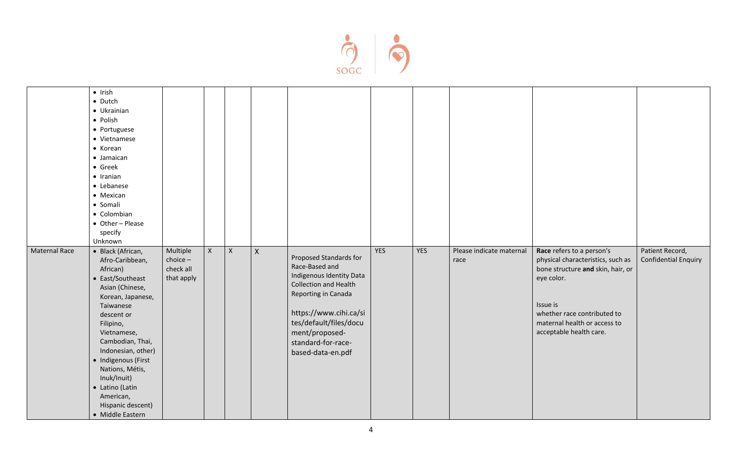

|                      | $\bullet$ Irish<br>• Dutch<br>• Ukrainian<br>· Polish<br>• Portuguese<br>• Vietnamese<br>• Korean<br>• Jamaican<br>• Greek<br>$\bullet$ Iranian<br>• Lebanese<br>• Mexican<br>· Somali<br>• Colombian<br>• Other - Please<br>specify<br>Unknown                                                                                                 |                                                   |              |                    |                           |                                                                                                                                                                                                                                       |            |            |                                  |                                                                                                                                                                                                                         |                                         |
|----------------------|-------------------------------------------------------------------------------------------------------------------------------------------------------------------------------------------------------------------------------------------------------------------------------------------------------------------------------------------------|---------------------------------------------------|--------------|--------------------|---------------------------|---------------------------------------------------------------------------------------------------------------------------------------------------------------------------------------------------------------------------------------|------------|------------|----------------------------------|-------------------------------------------------------------------------------------------------------------------------------------------------------------------------------------------------------------------------|-----------------------------------------|
| <b>Maternal Race</b> | • Black (African,<br>Afro-Caribbean,<br>African)<br>• East/Southeast<br>Asian (Chinese,<br>Korean, Japanese,<br>Taiwanese<br>descent or<br>Filipino,<br>Vietnamese,<br>Cambodian, Thai,<br>Indonesian, other)<br>· Indigenous (First<br>Nations, Métis,<br>Inuk/Inuit)<br>• Latino (Latin<br>American,<br>Hispanic descent)<br>• Middle Eastern | Multiple<br>$choice -$<br>check all<br>that apply | $\mathsf{X}$ | $\pmb{\mathsf{X}}$ | $\boldsymbol{\mathsf{X}}$ | Proposed Standards for<br>Race-Based and<br>Indigenous Identity Data<br>Collection and Health<br>Reporting in Canada<br>https://www.cihi.ca/si<br>tes/default/files/docu<br>ment/proposed-<br>standard-for-race-<br>based-data-en.pdf | <b>YES</b> | <b>YES</b> | Please indicate maternal<br>race | Race refers to a person's<br>physical characteristics, such as<br>bone structure and skin, hair, or<br>eye color.<br>Issue is<br>whether race contributed to<br>maternal health or access to<br>acceptable health care. | Patient Record,<br>Confidential Enquiry |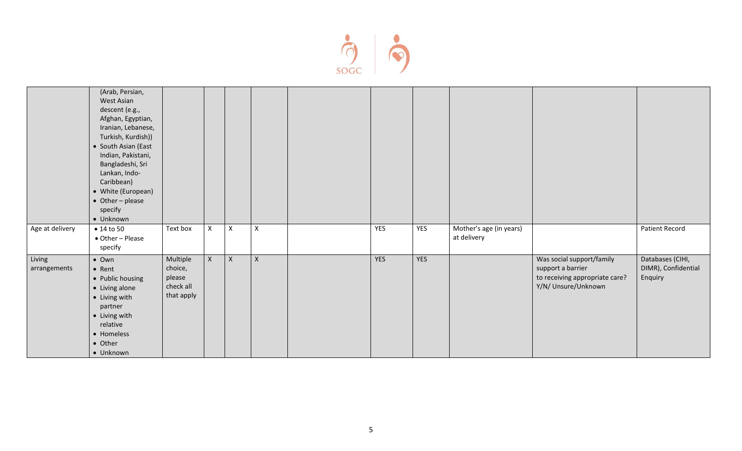

|                        | (Arab, Persian,<br>West Asian<br>descent (e.g.,<br>Afghan, Egyptian,<br>Iranian, Lebanese,<br>Turkish, Kurdish))<br>• South Asian (East<br>Indian, Pakistani,<br>Bangladeshi, Sri<br>Lankan, Indo-<br>Caribbean)<br>• White (European)<br>$\bullet$ Other - please<br>specify<br>• Unknown |                                                          |              |                    |                           |            |     |                                        |                                                                                                         |                                                    |
|------------------------|--------------------------------------------------------------------------------------------------------------------------------------------------------------------------------------------------------------------------------------------------------------------------------------------|----------------------------------------------------------|--------------|--------------------|---------------------------|------------|-----|----------------------------------------|---------------------------------------------------------------------------------------------------------|----------------------------------------------------|
| Age at delivery        | $\bullet$ 14 to 50<br>• Other - Please<br>specify                                                                                                                                                                                                                                          | Text box                                                 | $\mathsf{X}$ | $\pmb{\mathsf{X}}$ | $\boldsymbol{\mathsf{X}}$ | YES        | YES | Mother's age (in years)<br>at delivery |                                                                                                         | Patient Record                                     |
| Living<br>arrangements | $\bullet$ Own<br>• Rent<br>• Public housing<br>• Living alone<br>• Living with<br>partner<br>• Living with<br>relative<br>• Homeless<br>• Other<br>• Unknown                                                                                                                               | Multiple<br>choice,<br>please<br>check all<br>that apply | $\mathsf{X}$ | $\pmb{\times}$     | $\boldsymbol{X}$          | <b>YES</b> | YES |                                        | Was social support/family<br>support a barrier<br>to receiving appropriate care?<br>Y/N/ Unsure/Unknown | Databases (CIHI,<br>DIMR), Confidential<br>Enquiry |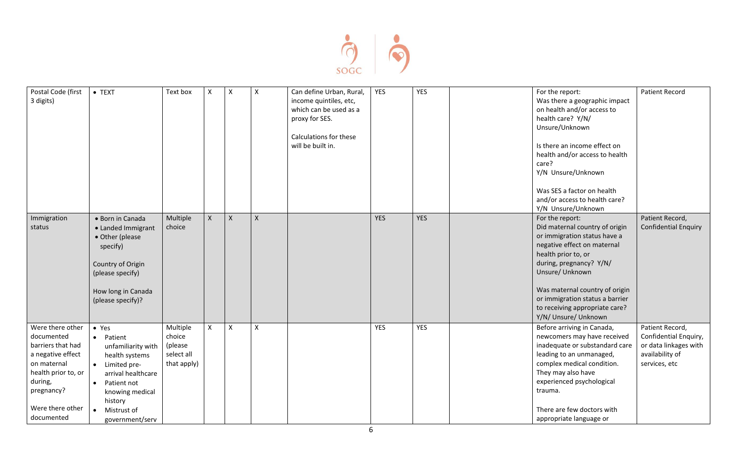

| Postal Code (first<br>3 digits)                                                                                                                                           | $\bullet$ TEXT                                                                                                                                                                                                                 | Text box                                                   | $\mathsf{x}$ | $\boldsymbol{X}$ | $\pmb{\mathsf{X}}$ | Can define Urban, Rural,<br>income quintiles, etc,<br>which can be used as a<br>proxy for SES.<br>Calculations for these<br>will be built in. | <b>YES</b> | <b>YES</b> | For the report:<br>Was there a geographic impact<br>on health and/or access to<br>health care? Y/N/<br>Unsure/Unknown<br>Is there an income effect on<br>health and/or access to health<br>care?<br>Y/N Unsure/Unknown<br>Was SES a factor on health<br>and/or access to health care?<br>Y/N Unsure/Unknown          | <b>Patient Record</b>                                                                                 |
|---------------------------------------------------------------------------------------------------------------------------------------------------------------------------|--------------------------------------------------------------------------------------------------------------------------------------------------------------------------------------------------------------------------------|------------------------------------------------------------|--------------|------------------|--------------------|-----------------------------------------------------------------------------------------------------------------------------------------------|------------|------------|----------------------------------------------------------------------------------------------------------------------------------------------------------------------------------------------------------------------------------------------------------------------------------------------------------------------|-------------------------------------------------------------------------------------------------------|
| Immigration<br>status                                                                                                                                                     | • Born in Canada<br>· Landed Immigrant<br>• Other (please<br>specify)<br>Country of Origin<br>(please specify)<br>How long in Canada<br>(please specify)?                                                                      | Multiple<br>choice                                         | $\mathsf{X}$ | $\pmb{\times}$   | $\mathsf{X}$       |                                                                                                                                               | <b>YES</b> | <b>YES</b> | For the report:<br>Did maternal country of origin<br>or immigration status have a<br>negative effect on maternal<br>health prior to, or<br>during, pregnancy? Y/N/<br>Unsure/ Unknown<br>Was maternal country of origin<br>or immigration status a barrier<br>to receiving appropriate care?<br>Y/N/ Unsure/ Unknown | Patient Record,<br><b>Confidential Enquiry</b>                                                        |
| Were there other<br>documented<br>barriers that had<br>a negative effect<br>on maternal<br>health prior to, or<br>during,<br>pregnancy?<br>Were there other<br>documented | $\bullet$ Yes<br>• Patient<br>unfamiliarity with<br>health systems<br>$\bullet$<br>Limited pre-<br>arrival healthcare<br>$\bullet$<br>Patient not<br>knowing medical<br>history<br>Mistrust of<br>$\bullet$<br>government/serv | Multiple<br>choice<br>(please<br>select all<br>that apply) | $\mathsf{X}$ | $\mathsf{X}$     | X                  |                                                                                                                                               | <b>YES</b> | <b>YES</b> | Before arriving in Canada,<br>newcomers may have received<br>inadequate or substandard care<br>leading to an unmanaged,<br>complex medical condition.<br>They may also have<br>experienced psychological<br>trauma.<br>There are few doctors with<br>appropriate language or                                         | Patient Record,<br>Confidential Enquiry,<br>or data linkages with<br>availability of<br>services, etc |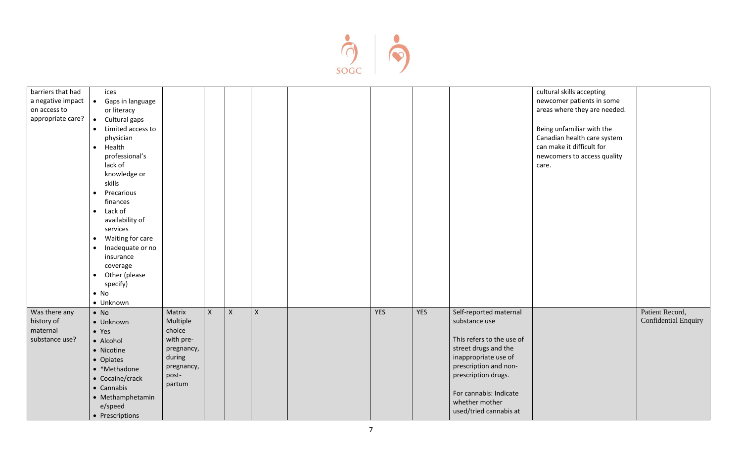

| barriers that had<br>a negative impact<br>on access to<br>appropriate care? | ices<br>Gaps in language<br>$\bullet$<br>or literacy<br>Cultural gaps<br>$\bullet$<br>Limited access to<br>$\bullet$<br>physician<br>Health<br>$\bullet$<br>professional's<br>lack of                                                                                     |                                                                                                    |                |                           |              |            |     |                                                                                                                                                                                                                                            | cultural skills accepting<br>newcomer patients in some<br>areas where they are needed.<br>Being unfamiliar with the<br>Canadian health care system<br>can make it difficult for<br>newcomers to access quality<br>care. |                                                |
|-----------------------------------------------------------------------------|---------------------------------------------------------------------------------------------------------------------------------------------------------------------------------------------------------------------------------------------------------------------------|----------------------------------------------------------------------------------------------------|----------------|---------------------------|--------------|------------|-----|--------------------------------------------------------------------------------------------------------------------------------------------------------------------------------------------------------------------------------------------|-------------------------------------------------------------------------------------------------------------------------------------------------------------------------------------------------------------------------|------------------------------------------------|
|                                                                             | knowledge or<br>skills<br>Precarious<br>$\bullet$<br>finances<br>Lack of<br>$\bullet$<br>availability of<br>services<br>Waiting for care<br>$\bullet$<br>Inadequate or no<br>$\bullet$<br>insurance<br>coverage<br>Other (please<br>$\bullet$<br>specify)<br>$\bullet$ No |                                                                                                    |                |                           |              |            |     |                                                                                                                                                                                                                                            |                                                                                                                                                                                                                         |                                                |
| Was there any<br>history of<br>maternal<br>substance use?                   | · Unknown<br>$\bullet$ No<br>• Unknown<br>$\bullet$ Yes<br>• Alcohol<br>• Nicotine<br>• Opiates<br>• *Methadone<br>• Cocaine/crack<br>• Cannabis<br>• Methamphetamin<br>e/speed<br>• Prescriptions                                                                        | Matrix<br>Multiple<br>choice<br>with pre-<br>pregnancy,<br>during<br>pregnancy,<br>post-<br>partum | $\pmb{\times}$ | $\boldsymbol{\mathsf{X}}$ | $\mathsf{x}$ | <b>YES</b> | YES | Self-reported maternal<br>substance use<br>This refers to the use of<br>street drugs and the<br>inappropriate use of<br>prescription and non-<br>prescription drugs.<br>For cannabis: Indicate<br>whether mother<br>used/tried cannabis at |                                                                                                                                                                                                                         | Patient Record,<br><b>Confidential Enquiry</b> |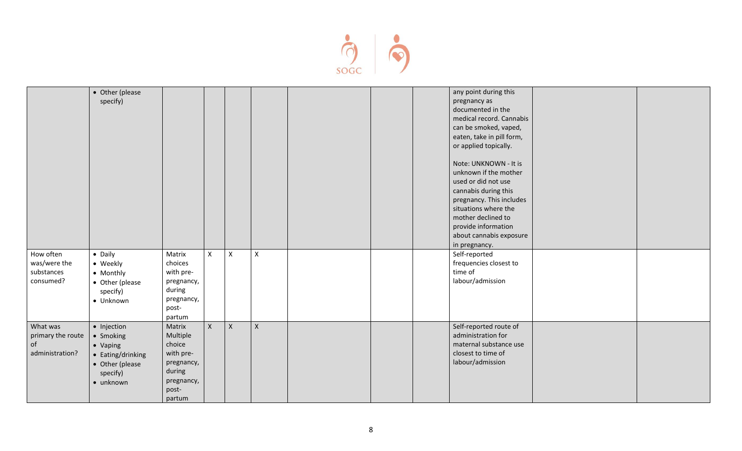

|                                                        | • Other (please<br>specify)                                                                                   |                                                                                                    |              |                |              |  | any point during this<br>pregnancy as<br>documented in the<br>medical record. Cannabis<br>can be smoked, vaped,<br>eaten, take in pill form,<br>or applied topically.<br>Note: UNKNOWN - It is<br>unknown if the mother<br>used or did not use<br>cannabis during this<br>pregnancy. This includes<br>situations where the<br>mother declined to<br>provide information<br>about cannabis exposure<br>in pregnancy. |  |
|--------------------------------------------------------|---------------------------------------------------------------------------------------------------------------|----------------------------------------------------------------------------------------------------|--------------|----------------|--------------|--|---------------------------------------------------------------------------------------------------------------------------------------------------------------------------------------------------------------------------------------------------------------------------------------------------------------------------------------------------------------------------------------------------------------------|--|
| How often<br>was/were the<br>substances<br>consumed?   | • Daily<br>• Weekly<br>• Monthly<br>• Other (please<br>specify)<br>• Unknown                                  | Matrix<br>choices<br>with pre-<br>pregnancy,<br>during<br>pregnancy,<br>post-<br>partum            | $\mathsf{X}$ | $\mathsf{X}$   | $\mathsf{X}$ |  | Self-reported<br>frequencies closest to<br>time of<br>labour/admission                                                                                                                                                                                                                                                                                                                                              |  |
| What was<br>primary the route<br>of<br>administration? | · Injection<br>• Smoking<br>• Vaping<br>• Eating/drinking<br>• Other (please<br>specify)<br>$\bullet$ unknown | Matrix<br>Multiple<br>choice<br>with pre-<br>pregnancy,<br>during<br>pregnancy,<br>post-<br>partum | $\mathsf{X}$ | $\pmb{\times}$ | $\mathsf X$  |  | Self-reported route of<br>administration for<br>maternal substance use<br>closest to time of<br>labour/admission                                                                                                                                                                                                                                                                                                    |  |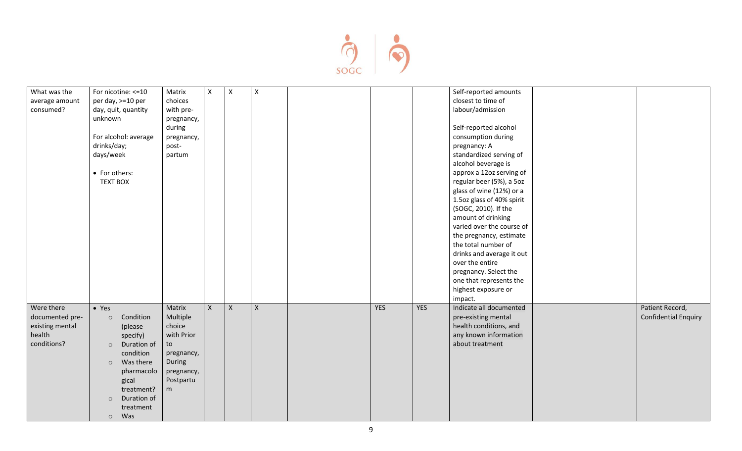

| What was the    | For nicotine: <= 10    | Matrix     | $\mathsf{X}$ | $\boldsymbol{X}$ | $\boldsymbol{\mathsf{X}}$ |            |            | Self-reported amounts     |                             |
|-----------------|------------------------|------------|--------------|------------------|---------------------------|------------|------------|---------------------------|-----------------------------|
| average amount  | per day, >=10 per      | choices    |              |                  |                           |            |            | closest to time of        |                             |
| consumed?       | day, quit, quantity    | with pre-  |              |                  |                           |            |            | labour/admission          |                             |
|                 | unknown                | pregnancy, |              |                  |                           |            |            |                           |                             |
|                 |                        | during     |              |                  |                           |            |            | Self-reported alcohol     |                             |
|                 | For alcohol: average   | pregnancy, |              |                  |                           |            |            | consumption during        |                             |
|                 | drinks/day;            | post-      |              |                  |                           |            |            | pregnancy: A              |                             |
|                 | days/week              | partum     |              |                  |                           |            |            | standardized serving of   |                             |
|                 |                        |            |              |                  |                           |            |            | alcohol beverage is       |                             |
|                 | • For others:          |            |              |                  |                           |            |            | approx a 12oz serving of  |                             |
|                 | <b>TEXT BOX</b>        |            |              |                  |                           |            |            | regular beer (5%), a 5oz  |                             |
|                 |                        |            |              |                  |                           |            |            | glass of wine (12%) or a  |                             |
|                 |                        |            |              |                  |                           |            |            | 1.5oz glass of 40% spirit |                             |
|                 |                        |            |              |                  |                           |            |            | (SOGC, 2010). If the      |                             |
|                 |                        |            |              |                  |                           |            |            | amount of drinking        |                             |
|                 |                        |            |              |                  |                           |            |            | varied over the course of |                             |
|                 |                        |            |              |                  |                           |            |            | the pregnancy, estimate   |                             |
|                 |                        |            |              |                  |                           |            |            | the total number of       |                             |
|                 |                        |            |              |                  |                           |            |            | drinks and average it out |                             |
|                 |                        |            |              |                  |                           |            |            | over the entire           |                             |
|                 |                        |            |              |                  |                           |            |            | pregnancy. Select the     |                             |
|                 |                        |            |              |                  |                           |            |            | one that represents the   |                             |
|                 |                        |            |              |                  |                           |            |            | highest exposure or       |                             |
|                 |                        |            |              |                  |                           |            |            | impact.                   |                             |
| Were there      | $\bullet$ Yes          | Matrix     | $\mathsf{X}$ | $\pmb{\times}$   | $\mathsf{x}$              | <b>YES</b> | <b>YES</b> | Indicate all documented   | Patient Record,             |
| documented pre- | Condition<br>$\circ$   | Multiple   |              |                  |                           |            |            | pre-existing mental       | <b>Confidential Enquiry</b> |
| existing mental | (please                | choice     |              |                  |                           |            |            | health conditions, and    |                             |
| health          | specify)               | with Prior |              |                  |                           |            |            | any known information     |                             |
| conditions?     | Duration of<br>$\circ$ | to         |              |                  |                           |            |            | about treatment           |                             |
|                 | condition              | pregnancy, |              |                  |                           |            |            |                           |                             |
|                 | Was there<br>$\circ$   | During     |              |                  |                           |            |            |                           |                             |
|                 | pharmacolo             | pregnancy, |              |                  |                           |            |            |                           |                             |
|                 | gical                  | Postpartu  |              |                  |                           |            |            |                           |                             |
|                 | treatment?             | m          |              |                  |                           |            |            |                           |                             |
|                 | Duration of            |            |              |                  |                           |            |            |                           |                             |
|                 | $\circ$                |            |              |                  |                           |            |            |                           |                             |
|                 | treatment              |            |              |                  |                           |            |            |                           |                             |
|                 | Was<br>$\circ$         |            |              |                  |                           |            |            |                           |                             |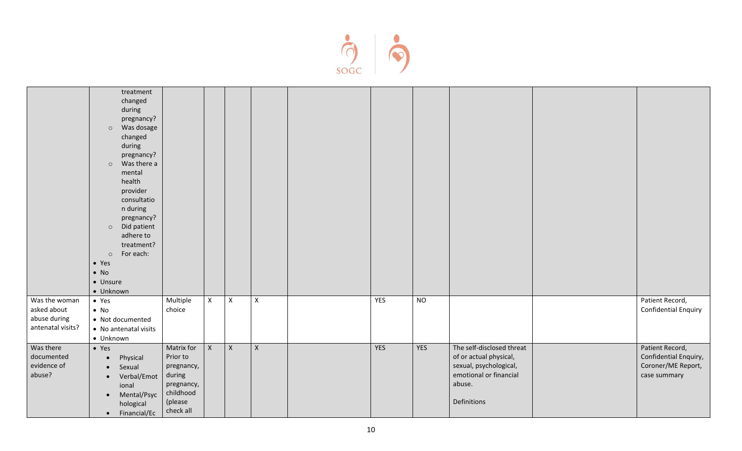

|                                                                   | treatment<br>changed<br>during<br>pregnancy?<br>Was dosage<br>$\circ$<br>changed<br>during<br>pregnancy?<br>Was there a<br>$\circ$<br>mental<br>health<br>provider<br>consultatio<br>n during<br>pregnancy?<br>Did patient<br>$\circ$<br>adhere to<br>treatment?<br>For each:<br>$\circ$<br>• Yes |                                                                                                   |                    |              |                  |            |            |                                                                                                                                  |                                                                                |
|-------------------------------------------------------------------|---------------------------------------------------------------------------------------------------------------------------------------------------------------------------------------------------------------------------------------------------------------------------------------------------|---------------------------------------------------------------------------------------------------|--------------------|--------------|------------------|------------|------------|----------------------------------------------------------------------------------------------------------------------------------|--------------------------------------------------------------------------------|
| Was the woman<br>asked about<br>abuse during<br>antenatal visits? | • Unsure<br>• Unknown<br>$\bullet$ Yes<br>$\bullet$ No<br>• Not documented<br>• No antenatal visits<br>· Unknown                                                                                                                                                                                  | Multiple<br>choice                                                                                | $\pmb{\mathsf{X}}$ | $\mathsf{X}$ | $\mathsf{X}$     | YES        | <b>NO</b>  |                                                                                                                                  | Patient Record,<br><b>Confidential Enquiry</b>                                 |
| Was there<br>documented<br>evidence of<br>abuse?                  | $\bullet$ Yes<br>Physical<br>$\bullet$<br>Sexual<br>$\bullet$<br>Verbal/Emot<br>$\bullet$<br>ional<br>Mental/Psyc<br>$\bullet$<br>hological<br>• Financial/Ec                                                                                                                                     | Matrix for<br>Prior to<br>pregnancy,<br>during<br>pregnancy,<br>childhood<br>(please<br>check all | $\mathsf{X}$       | $\mathsf{X}$ | $\boldsymbol{X}$ | <b>YES</b> | <b>YES</b> | The self-disclosed threat<br>of or actual physical,<br>sexual, psychological,<br>emotional or financial<br>abuse.<br>Definitions | Patient Record,<br>Confidential Enquiry,<br>Coroner/ME Report,<br>case summary |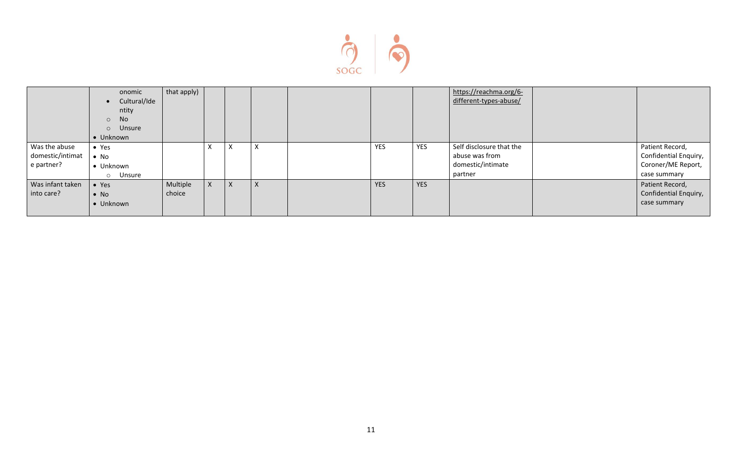

|                  | onomic                    | that apply) |              |   |          |            |            | https://reachma.org/6-   |                       |
|------------------|---------------------------|-------------|--------------|---|----------|------------|------------|--------------------------|-----------------------|
|                  | Cultural/Ide<br>$\bullet$ |             |              |   |          |            |            | different-types-abuse/   |                       |
|                  | ntity                     |             |              |   |          |            |            |                          |                       |
|                  | No<br>$\circ$             |             |              |   |          |            |            |                          |                       |
|                  | Unsure<br>$\circ$         |             |              |   |          |            |            |                          |                       |
|                  | • Unknown                 |             |              |   |          |            |            |                          |                       |
| Was the abuse    | $\bullet$ Yes             |             |              | Χ | v        | <b>YES</b> | <b>YES</b> | Self disclosure that the | Patient Record,       |
| domestic/intimat | $\bullet$ No              |             |              |   |          |            |            | abuse was from           | Confidential Enquiry, |
| e partner?       | • Unknown                 |             |              |   |          |            |            | domestic/intimate        | Coroner/ME Report,    |
|                  | Unsure<br>$\circ$         |             |              |   |          |            |            | partner                  | case summary          |
| Was infant taken | $\bullet$ Yes             | Multiple    | $\mathsf{X}$ | X | $\times$ | <b>YES</b> | <b>YES</b> |                          | Patient Record,       |
| into care?       | $\bullet$ No              | choice      |              |   |          |            |            |                          | Confidential Enquiry, |
|                  | • Unknown                 |             |              |   |          |            |            |                          | case summary          |
|                  |                           |             |              |   |          |            |            |                          |                       |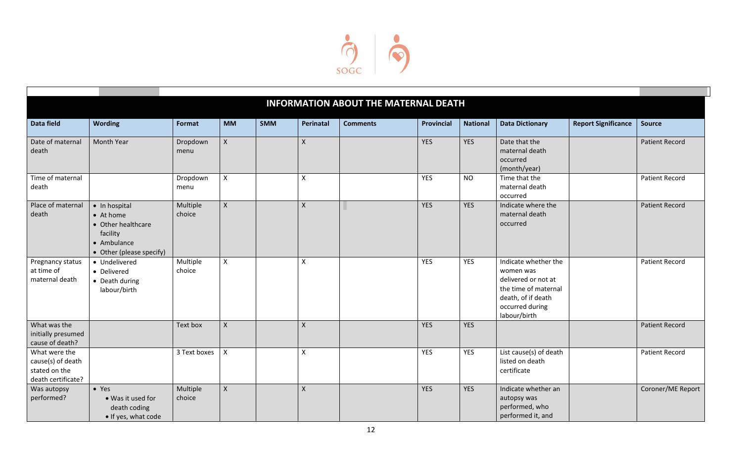

|                                                                           |                                                                                                         |                    |                    |            |                    | <b>INFORMATION ABOUT THE MATERNAL DEATH</b> |            |                 |                                                                                                                                           |                            |                       |
|---------------------------------------------------------------------------|---------------------------------------------------------------------------------------------------------|--------------------|--------------------|------------|--------------------|---------------------------------------------|------------|-----------------|-------------------------------------------------------------------------------------------------------------------------------------------|----------------------------|-----------------------|
| Data field                                                                | Wording                                                                                                 | Format             | <b>MM</b>          | <b>SMM</b> | Perinatal          | <b>Comments</b>                             | Provincial | <b>National</b> | <b>Data Dictionary</b>                                                                                                                    | <b>Report Significance</b> | <b>Source</b>         |
| Date of maternal<br>death                                                 | <b>Month Year</b>                                                                                       | Dropdown<br>menu   | $\mathsf{X}$       |            | $\mathsf{x}$       |                                             | <b>YES</b> | <b>YES</b>      | Date that the<br>maternal death<br>occurred<br>(month/year)                                                                               |                            | <b>Patient Record</b> |
| Time of maternal<br>death                                                 |                                                                                                         | Dropdown<br>menu   | $\mathsf{X}$       |            | $\pmb{\mathsf{X}}$ |                                             | <b>YES</b> | <b>NO</b>       | Time that the<br>maternal death<br>occurred                                                                                               |                            | <b>Patient Record</b> |
| Place of maternal<br>death                                                | • In hospital<br>• At home<br>• Other healthcare<br>facility<br>• Ambulance<br>• Other (please specify) | Multiple<br>choice | $\mathsf X$        |            | $\mathsf{x}$       |                                             | <b>YES</b> | <b>YES</b>      | Indicate where the<br>maternal death<br>occurred                                                                                          |                            | <b>Patient Record</b> |
| Pregnancy status<br>at time of<br>maternal death                          | • Undelivered<br>• Delivered<br>• Death during<br>labour/birth                                          | Multiple<br>choice | $\mathsf{X}$       |            | $\mathsf{x}$       |                                             | <b>YES</b> | <b>YES</b>      | Indicate whether the<br>women was<br>delivered or not at<br>the time of maternal<br>death, of if death<br>occurred during<br>labour/birth |                            | <b>Patient Record</b> |
| What was the<br>initially presumed<br>cause of death?                     |                                                                                                         | Text box           | $\pmb{\times}$     |            | $\mathsf{x}$       |                                             | <b>YES</b> | <b>YES</b>      |                                                                                                                                           |                            | <b>Patient Record</b> |
| What were the<br>cause(s) of death<br>stated on the<br>death certificate? |                                                                                                         | 3 Text boxes       | $\mathsf{X}$       |            | $\mathsf{x}$       |                                             | <b>YES</b> | <b>YES</b>      | List cause(s) of death<br>listed on death<br>certificate                                                                                  |                            | <b>Patient Record</b> |
| Was autopsy<br>performed?                                                 | $\bullet$ Yes<br>• Was it used for<br>death coding<br>• If yes, what code                               | Multiple<br>choice | $\pmb{\mathsf{X}}$ |            | $\mathsf X$        |                                             | <b>YES</b> | <b>YES</b>      | Indicate whether an<br>autopsy was<br>performed, who<br>performed it, and                                                                 |                            | Coroner/ME Report     |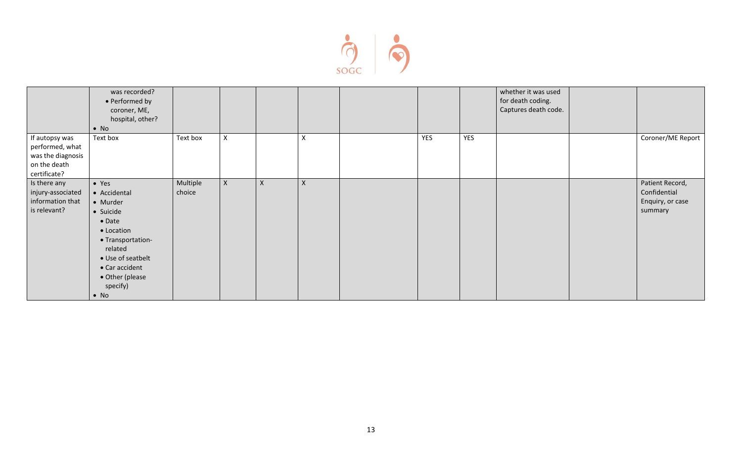

|                                                                                        | was recorded?<br>• Performed by<br>coroner, ME,<br>hospital, other?<br>$\bullet$ No                                                                                                                  |                    |                    |             |              |            |     | whether it was used<br>for death coding.<br>Captures death code. |                                                                |
|----------------------------------------------------------------------------------------|------------------------------------------------------------------------------------------------------------------------------------------------------------------------------------------------------|--------------------|--------------------|-------------|--------------|------------|-----|------------------------------------------------------------------|----------------------------------------------------------------|
| If autopsy was<br>performed, what<br>was the diagnosis<br>on the death<br>certificate? | Text box                                                                                                                                                                                             | Text box           | X                  |             | X            | <b>YES</b> | YES |                                                                  | Coroner/ME Report                                              |
| Is there any<br>injury-associated<br>information that<br>is relevant?                  | $\bullet$ Yes<br>• Accidental<br>• Murder<br>· Suicide<br>• Date<br>• Location<br>• Transportation-<br>related<br>• Use of seatbelt<br>• Car accident<br>• Other (please<br>specify)<br>$\bullet$ No | Multiple<br>choice | $\pmb{\mathsf{X}}$ | $\mathsf X$ | $\mathsf{X}$ |            |     |                                                                  | Patient Record,<br>Confidential<br>Enquiry, or case<br>summary |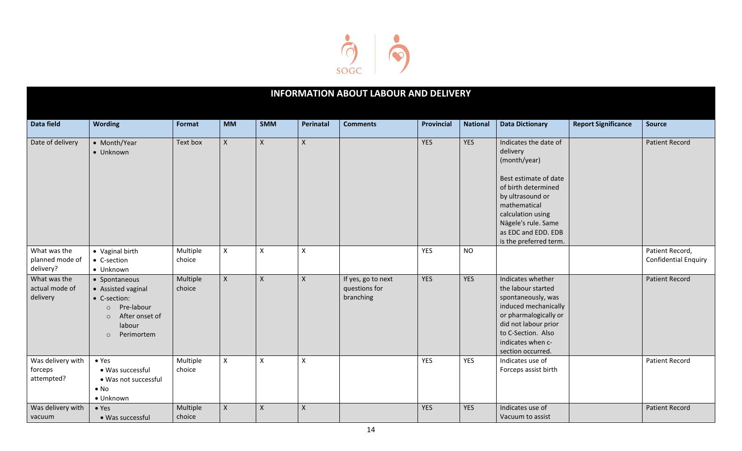

|                                              | <b>INFORMATION ABOUT LABOUR AND DELIVERY</b>                                                                                                 |                    |                    |                           |                    |                                                  |                   |                 |                                                                                                                                                                                                                                    |                            |                                                |  |  |  |
|----------------------------------------------|----------------------------------------------------------------------------------------------------------------------------------------------|--------------------|--------------------|---------------------------|--------------------|--------------------------------------------------|-------------------|-----------------|------------------------------------------------------------------------------------------------------------------------------------------------------------------------------------------------------------------------------------|----------------------------|------------------------------------------------|--|--|--|
| Data field                                   | Wording                                                                                                                                      | Format             | <b>MM</b>          | <b>SMM</b>                | Perinatal          | <b>Comments</b>                                  | <b>Provincial</b> | <b>National</b> | <b>Data Dictionary</b>                                                                                                                                                                                                             | <b>Report Significance</b> | <b>Source</b>                                  |  |  |  |
| Date of delivery                             | • Month/Year<br>• Unknown                                                                                                                    | Text box           | $\pmb{\times}$     | $\boldsymbol{X}$          | $\pmb{\mathsf{X}}$ |                                                  | <b>YES</b>        | <b>YES</b>      | Indicates the date of<br>delivery<br>(month/year)<br>Best estimate of date<br>of birth determined<br>by ultrasound or<br>mathematical<br>calculation using<br>Nägele's rule. Same<br>as EDC and EDD. EDB<br>is the preferred term. |                            | <b>Patient Record</b>                          |  |  |  |
| What was the<br>planned mode of<br>delivery? | • Vaginal birth<br>• C-section<br>• Unknown                                                                                                  | Multiple<br>choice | $\pmb{\mathsf{X}}$ | $\boldsymbol{\mathsf{X}}$ | $\pmb{\times}$     |                                                  | <b>YES</b>        | <b>NO</b>       |                                                                                                                                                                                                                                    |                            | Patient Record,<br><b>Confidential Enquiry</b> |  |  |  |
| What was the<br>actual mode of<br>delivery   | • Spontaneous<br>• Assisted vaginal<br>• C-section:<br>Pre-labour<br>$\circ$<br>After onset of<br>$\circ$<br>labour<br>Perimortem<br>$\circ$ | Multiple<br>choice | $\mathsf X$        | $\boldsymbol{\mathsf{X}}$ | $\pmb{\mathsf{X}}$ | If yes, go to next<br>questions for<br>branching | <b>YES</b>        | <b>YES</b>      | Indicates whether<br>the labour started<br>spontaneously, was<br>induced mechanically<br>or pharmalogically or<br>did not labour prior<br>to C-Section. Also<br>indicates when c-<br>section occurred.                             |                            | <b>Patient Record</b>                          |  |  |  |
| Was delivery with<br>forceps<br>attempted?   | $\bullet$ Yes<br>· Was successful<br>• Was not successful<br>$\bullet$ No<br>· Unknown                                                       | Multiple<br>choice | $\pmb{\mathsf{X}}$ | $\boldsymbol{\mathsf{X}}$ | $\pmb{\times}$     |                                                  | <b>YES</b>        | YES             | Indicates use of<br>Forceps assist birth                                                                                                                                                                                           |                            | <b>Patient Record</b>                          |  |  |  |
| Was delivery with<br>vacuum                  | $\bullet$ Yes<br>• Was successful                                                                                                            | Multiple<br>choice | $\mathsf X$        | $\boldsymbol{X}$          | $\pmb{\mathsf{X}}$ |                                                  | <b>YES</b>        | <b>YES</b>      | Indicates use of<br>Vacuum to assist                                                                                                                                                                                               |                            | <b>Patient Record</b>                          |  |  |  |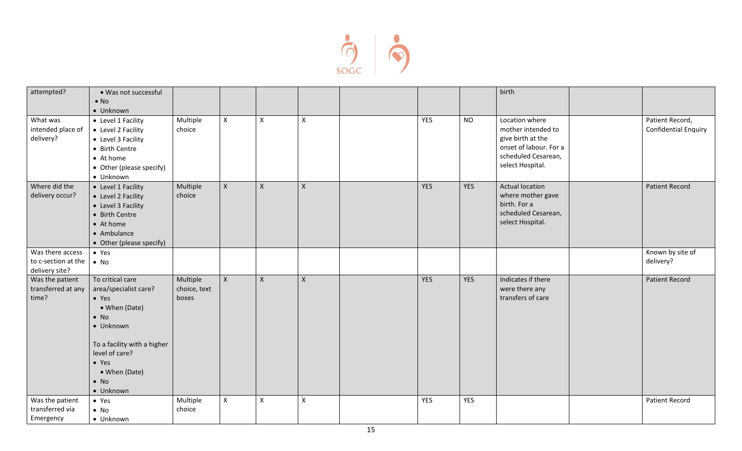

| attempted?          | · Was not successful        |              |                           |                           |                |            |            | birth                  |                             |
|---------------------|-----------------------------|--------------|---------------------------|---------------------------|----------------|------------|------------|------------------------|-----------------------------|
|                     | $\bullet$ No                |              |                           |                           |                |            |            |                        |                             |
|                     | • Unknown                   |              |                           |                           |                |            |            |                        |                             |
| What was            | • Level 1 Facility          | Multiple     | $\mathsf{X}$              | $\pmb{\times}$            | $\pmb{\times}$ | YES        | <b>NO</b>  | Location where         | Patient Record,             |
| intended place of   | • Level 2 Facility          | choice       |                           |                           |                |            |            | mother intended to     | <b>Confidential Enquiry</b> |
| delivery?           | • Level 3 Facility          |              |                           |                           |                |            |            | give birth at the      |                             |
|                     | • Birth Centre              |              |                           |                           |                |            |            | onset of labour. For a |                             |
|                     | • At home                   |              |                           |                           |                |            |            | scheduled Cesarean,    |                             |
|                     | • Other (please specify)    |              |                           |                           |                |            |            | select Hospital.       |                             |
|                     | • Unknown                   |              |                           |                           |                |            |            |                        |                             |
| Where did the       | • Level 1 Facility          | Multiple     | $\boldsymbol{\mathsf{X}}$ | $\boldsymbol{\mathsf{X}}$ | $\pmb{\times}$ | <b>YES</b> | <b>YES</b> | <b>Actual location</b> | <b>Patient Record</b>       |
| delivery occur?     | • Level 2 Facility          | choice       |                           |                           |                |            |            | where mother gave      |                             |
|                     | • Level 3 Facility          |              |                           |                           |                |            |            | birth. For a           |                             |
|                     | • Birth Centre              |              |                           |                           |                |            |            | scheduled Cesarean,    |                             |
|                     | • At home                   |              |                           |                           |                |            |            | select Hospital.       |                             |
|                     | • Ambulance                 |              |                           |                           |                |            |            |                        |                             |
|                     | • Other (please specify)    |              |                           |                           |                |            |            |                        |                             |
| Was there access    | $\bullet$ Yes               |              |                           |                           |                |            |            |                        | Known by site of            |
| to c-section at the | $\bullet$ No                |              |                           |                           |                |            |            |                        | delivery?                   |
| delivery site?      |                             |              |                           |                           |                |            |            |                        |                             |
| Was the patient     | To critical care            | Multiple     | $\mathsf{X}$              | $\boldsymbol{\mathsf{X}}$ | $\mathsf{X}$   | <b>YES</b> | <b>YES</b> | Indicates if there     | <b>Patient Record</b>       |
| transferred at any  | area/specialist care?       | choice, text |                           |                           |                |            |            | were there any         |                             |
| time?               | $\bullet$ Yes               | boxes        |                           |                           |                |            |            | transfers of care      |                             |
|                     | • When (Date)               |              |                           |                           |                |            |            |                        |                             |
|                     | $\bullet$ No                |              |                           |                           |                |            |            |                        |                             |
|                     | • Unknown                   |              |                           |                           |                |            |            |                        |                             |
|                     |                             |              |                           |                           |                |            |            |                        |                             |
|                     | To a facility with a higher |              |                           |                           |                |            |            |                        |                             |
|                     | level of care?              |              |                           |                           |                |            |            |                        |                             |
|                     | $\bullet$ Yes               |              |                           |                           |                |            |            |                        |                             |
|                     | • When (Date)               |              |                           |                           |                |            |            |                        |                             |
|                     | $\bullet$ No                |              |                           |                           |                |            |            |                        |                             |
|                     | · Unknown                   |              |                           |                           |                |            |            |                        |                             |
| Was the patient     | • Yes                       | Multiple     | $\pmb{\times}$            | $\pmb{\times}$            | X              | <b>YES</b> | YES        |                        | <b>Patient Record</b>       |
| transferred via     | $\bullet$ No                | choice       |                           |                           |                |            |            |                        |                             |
| Emergency           | • Unknown                   |              |                           |                           |                |            |            |                        |                             |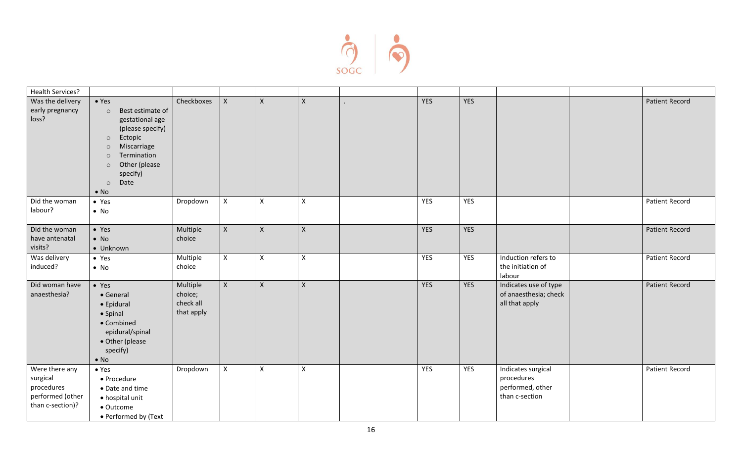

| Health Services?                                                                 |                                                                                                                                                                                                                                          |                                                |                    |                |             |            |            |                                                                        |                       |
|----------------------------------------------------------------------------------|------------------------------------------------------------------------------------------------------------------------------------------------------------------------------------------------------------------------------------------|------------------------------------------------|--------------------|----------------|-------------|------------|------------|------------------------------------------------------------------------|-----------------------|
| Was the delivery<br>early pregnancy<br>loss?                                     | $\bullet$ Yes<br>Best estimate of<br>$\circ$<br>gestational age<br>(please specify)<br>Ectopic<br>$\circ$<br>Miscarriage<br>$\circ$<br>Termination<br>$\circ$<br>Other (please<br>$\circ$<br>specify)<br>Date<br>$\circ$<br>$\bullet$ No | Checkboxes                                     | $\mathsf X$        | $\pmb{\times}$ | $\mathsf X$ | <b>YES</b> | <b>YES</b> |                                                                        | <b>Patient Record</b> |
| Did the woman<br>labour?                                                         | $\bullet$ Yes<br>$\bullet$ No                                                                                                                                                                                                            | Dropdown                                       | $\pmb{\mathsf{X}}$ | $\pmb{\times}$ | $\mathsf X$ | YES        | YES        |                                                                        | <b>Patient Record</b> |
| Did the woman<br>have antenatal<br>visits?                                       | $\bullet$ Yes<br>$\bullet$ No<br>• Unknown                                                                                                                                                                                               | Multiple<br>choice                             | $\mathsf X$        | $\mathsf X$    | $\mathsf X$ | <b>YES</b> | <b>YES</b> |                                                                        | <b>Patient Record</b> |
| Was delivery<br>induced?                                                         | $\bullet$ Yes<br>$\bullet$ No                                                                                                                                                                                                            | Multiple<br>choice                             | $\pmb{\mathsf{X}}$ | $\mathsf X$    | X           | YES        | YES        | Induction refers to<br>the initiation of<br>labour                     | <b>Patient Record</b> |
| Did woman have<br>anaesthesia?                                                   | $\bullet$ Yes<br>• General<br>• Epidural<br>• Spinal<br>• Combined<br>epidural/spinal<br>• Other (please<br>specify)<br>$\bullet$ No                                                                                                     | Multiple<br>choice;<br>check all<br>that apply | $\mathsf X$        | $\mathsf X$    | $\mathsf X$ | YES        | <b>YES</b> | Indicates use of type<br>of anaesthesia; check<br>all that apply       | <b>Patient Record</b> |
| Were there any<br>surgical<br>procedures<br>performed (other<br>than c-section)? | $\bullet$ Yes<br>• Procedure<br>• Date and time<br>• hospital unit<br>• Outcome<br>• Performed by (Text                                                                                                                                  | Dropdown                                       | $\pmb{\mathsf{X}}$ | $\pmb{\times}$ | X           | YES        | YES        | Indicates surgical<br>procedures<br>performed, other<br>than c-section | <b>Patient Record</b> |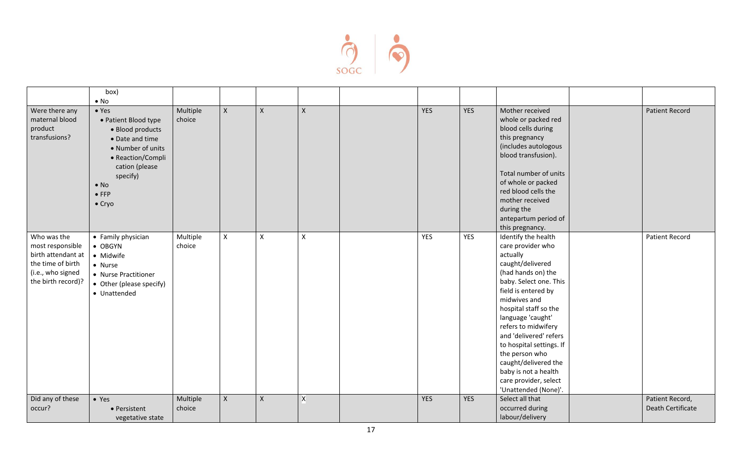

|                                                                                                                       | box)                                                                                                                                                                                                    |                    |              |                           |                         |            |     |                                                                                                                                                                                                                                                                                                                                                                                                               |                                      |
|-----------------------------------------------------------------------------------------------------------------------|---------------------------------------------------------------------------------------------------------------------------------------------------------------------------------------------------------|--------------------|--------------|---------------------------|-------------------------|------------|-----|---------------------------------------------------------------------------------------------------------------------------------------------------------------------------------------------------------------------------------------------------------------------------------------------------------------------------------------------------------------------------------------------------------------|--------------------------------------|
|                                                                                                                       | $\bullet$ No                                                                                                                                                                                            |                    |              |                           |                         |            |     |                                                                                                                                                                                                                                                                                                                                                                                                               |                                      |
| Were there any<br>maternal blood<br>product<br>transfusions?                                                          | $\bullet$ Yes<br>• Patient Blood type<br>· Blood products<br>• Date and time<br>• Number of units<br>• Reaction/Compli<br>cation (please<br>specify)<br>$\bullet$ No<br>$\bullet$ FFP<br>$\bullet$ Cryo | Multiple<br>choice | $\mathsf{X}$ | $\pmb{\times}$            | $\mathsf{X}$            | <b>YES</b> | YES | Mother received<br>whole or packed red<br>blood cells during<br>this pregnancy<br>(includes autologous<br>blood transfusion).<br>Total number of units<br>of whole or packed<br>red blood cells the<br>mother received<br>during the<br>antepartum period of<br>this pregnancy.                                                                                                                               | <b>Patient Record</b>                |
| Who was the<br>most responsible<br>birth attendant at<br>the time of birth<br>(i.e., who signed<br>the birth record)? | • Family physician<br>• OBGYN<br>· Midwife<br>• Nurse<br>• Nurse Practitioner<br>• Other (please specify)<br>• Unattended                                                                               | Multiple<br>choice | $\mathsf{X}$ | $\boldsymbol{\mathsf{x}}$ | $\pmb{\times}$          | <b>YES</b> | YES | Identify the health<br>care provider who<br>actually<br>caught/delivered<br>(had hands on) the<br>baby. Select one. This<br>field is entered by<br>midwives and<br>hospital staff so the<br>language 'caught'<br>refers to midwifery<br>and 'delivered' refers<br>to hospital settings. If<br>the person who<br>caught/delivered the<br>baby is not a health<br>care provider, select<br>'Unattended (None)'. | <b>Patient Record</b>                |
| Did any of these<br>occur?                                                                                            | $\bullet$ Yes<br>• Persistent<br>vegetative state                                                                                                                                                       | Multiple<br>choice | $\mathsf X$  | $\boldsymbol{\mathsf{X}}$ | $\overline{\mathsf{x}}$ | <b>YES</b> | YES | Select all that<br>occurred during<br>labour/delivery                                                                                                                                                                                                                                                                                                                                                         | Patient Record,<br>Death Certificate |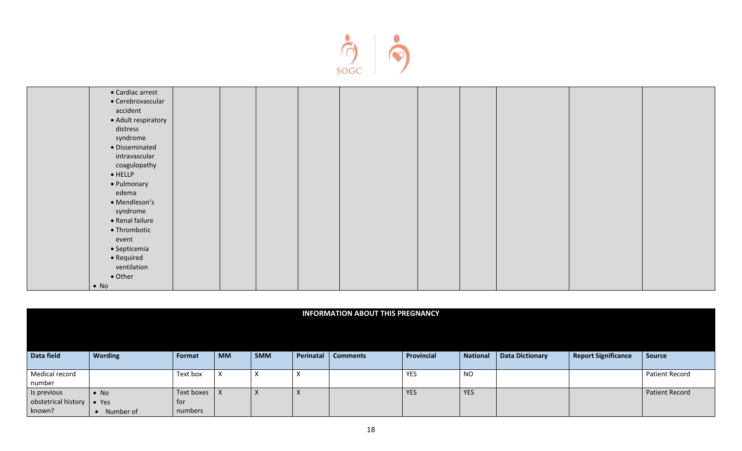

| • Cardiac arrest    |  |  |  |  |  |
|---------------------|--|--|--|--|--|
| • Cerebrovascular   |  |  |  |  |  |
| accident            |  |  |  |  |  |
| • Adult respiratory |  |  |  |  |  |
| distress            |  |  |  |  |  |
| syndrome            |  |  |  |  |  |
| · Disseminated      |  |  |  |  |  |
| intravascular       |  |  |  |  |  |
| coagulopathy        |  |  |  |  |  |
| $\bullet$ HELLP     |  |  |  |  |  |
| • Pulmonary         |  |  |  |  |  |
| edema               |  |  |  |  |  |
| • Mendleson's       |  |  |  |  |  |
| syndrome            |  |  |  |  |  |
| • Renal failure     |  |  |  |  |  |
| • Thrombotic        |  |  |  |  |  |
| event               |  |  |  |  |  |
| • Septicemia        |  |  |  |  |  |
| • Required          |  |  |  |  |  |
| ventilation         |  |  |  |  |  |
| • Other             |  |  |  |  |  |
| $\bullet$ No        |  |  |  |  |  |

| <b>INFORMATION ABOUT THIS PREGNANCY</b>      |                                                                                                                                                                                               |                              |  |  |  |  |            |            |  |  |                       |  |  |  |
|----------------------------------------------|-----------------------------------------------------------------------------------------------------------------------------------------------------------------------------------------------|------------------------------|--|--|--|--|------------|------------|--|--|-----------------------|--|--|--|
|                                              |                                                                                                                                                                                               |                              |  |  |  |  |            |            |  |  |                       |  |  |  |
|                                              | Source<br>Data field<br>Provincial<br>Wording<br><b>MM</b><br><b>SMM</b><br>Perinatal<br><b>Report Significance</b><br><b>National</b><br><b>Data Dictionary</b><br>Format<br><b>Comments</b> |                              |  |  |  |  |            |            |  |  |                       |  |  |  |
|                                              |                                                                                                                                                                                               |                              |  |  |  |  |            |            |  |  |                       |  |  |  |
| Medical record<br>number                     |                                                                                                                                                                                               | Text box                     |  |  |  |  | YES        | <b>NO</b>  |  |  | <b>Patient Record</b> |  |  |  |
| Is previous<br>obstetrical history<br>known? | $\bullet$ No<br>$\bullet$ Yes<br>• Number of                                                                                                                                                  | Text boxes<br>for<br>numbers |  |  |  |  | <b>YES</b> | <b>YES</b> |  |  | <b>Patient Record</b> |  |  |  |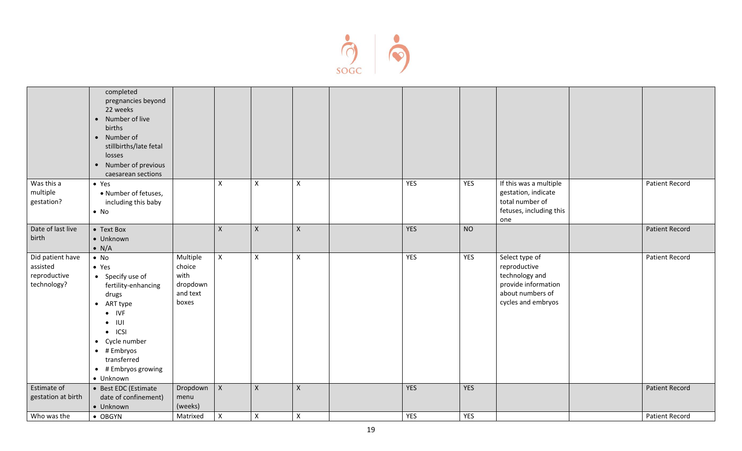

|                                                             | completed<br>pregnancies beyond<br>22 weeks<br>• Number of live<br>births<br>• Number of<br>stillbirths/late fetal<br>losses<br>• Number of previous<br>caesarean sections                                                                      |                                                             |                |              |                    |            |           |                                                                                                                   |                       |
|-------------------------------------------------------------|-------------------------------------------------------------------------------------------------------------------------------------------------------------------------------------------------------------------------------------------------|-------------------------------------------------------------|----------------|--------------|--------------------|------------|-----------|-------------------------------------------------------------------------------------------------------------------|-----------------------|
| Was this a<br>multiple<br>gestation?                        | $\bullet$ Yes<br>• Number of fetuses,<br>including this baby<br>$\bullet$ No                                                                                                                                                                    |                                                             | X              | X            | $\mathsf{X}$       | YES        | YES       | If this was a multiple<br>gestation, indicate<br>total number of<br>fetuses, including this<br>one                | <b>Patient Record</b> |
| Date of last live<br>birth                                  | • Text Box<br>• Unknown<br>$\bullet$ N/A                                                                                                                                                                                                        |                                                             | $\mathsf X$    | $\mathsf{X}$ | $\mathsf X$        | <b>YES</b> | <b>NO</b> |                                                                                                                   | <b>Patient Record</b> |
| Did patient have<br>assisted<br>reproductive<br>technology? | $\bullet$ No<br>$\bullet$ Yes<br>• Specify use of<br>fertility-enhancing<br>drugs<br>• ART type<br>$\bullet$ IVF<br>$\bullet$ IUI<br>$\bullet$ ICSI<br>• Cycle number<br>$\bullet$ # Embryos<br>transferred<br>• # Embryos growing<br>• Unknown | Multiple<br>choice<br>with<br>dropdown<br>and text<br>boxes | Χ              | $\mathsf{X}$ | $\pmb{\mathsf{X}}$ | YES        | YES       | Select type of<br>reproductive<br>technology and<br>provide information<br>about numbers of<br>cycles and embryos | <b>Patient Record</b> |
| Estimate of<br>gestation at birth                           | • Best EDC (Estimate<br>date of confinement)<br>• Unknown                                                                                                                                                                                       | Dropdown<br>menu<br>(weeks)                                 | $\mathsf{X}^-$ | $\mathsf{X}$ | $\mathsf X$        | <b>YES</b> | YES       |                                                                                                                   | <b>Patient Record</b> |
| Who was the                                                 | • OBGYN                                                                                                                                                                                                                                         | Matrixed                                                    | $\mathsf{X}$   | $\mathsf{X}$ | $\mathsf{X}$       | YES        | YES       |                                                                                                                   | <b>Patient Record</b> |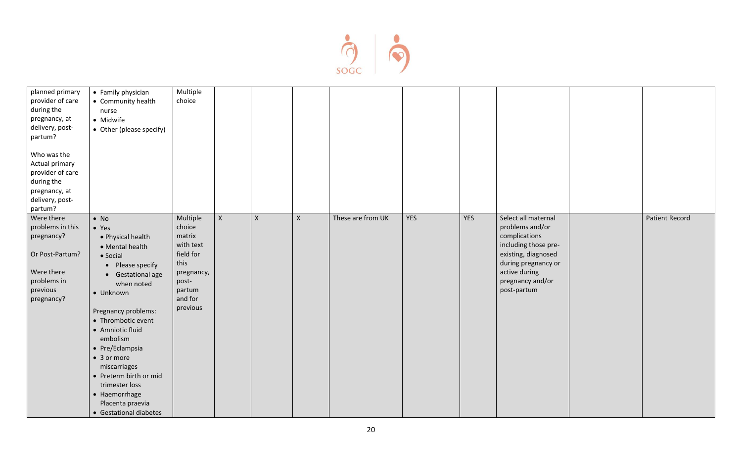

| planned primary<br>provider of care<br>during the<br>pregnancy, at<br>delivery, post-<br>partum?<br>Who was the        | • Family physician<br>• Community health<br>nurse<br>• Midwife<br>• Other (please specify)                                                                                                                                                                                                                                                                                                      | Multiple<br>choice                                                                                                     |             |              |              |                   |            |     |                                                                                                                                                                                   |                       |
|------------------------------------------------------------------------------------------------------------------------|-------------------------------------------------------------------------------------------------------------------------------------------------------------------------------------------------------------------------------------------------------------------------------------------------------------------------------------------------------------------------------------------------|------------------------------------------------------------------------------------------------------------------------|-------------|--------------|--------------|-------------------|------------|-----|-----------------------------------------------------------------------------------------------------------------------------------------------------------------------------------|-----------------------|
| Actual primary<br>provider of care<br>during the                                                                       |                                                                                                                                                                                                                                                                                                                                                                                                 |                                                                                                                        |             |              |              |                   |            |     |                                                                                                                                                                                   |                       |
| pregnancy, at                                                                                                          |                                                                                                                                                                                                                                                                                                                                                                                                 |                                                                                                                        |             |              |              |                   |            |     |                                                                                                                                                                                   |                       |
| delivery, post-<br>partum?                                                                                             |                                                                                                                                                                                                                                                                                                                                                                                                 |                                                                                                                        |             |              |              |                   |            |     |                                                                                                                                                                                   |                       |
| Were there<br>problems in this<br>pregnancy?<br>Or Post-Partum?<br>Were there<br>problems in<br>previous<br>pregnancy? | $\bullet$ No<br>$\bullet$ Yes<br>• Physical health<br>• Mental health<br>• Social<br>• Please specify<br>• Gestational age<br>when noted<br>• Unknown<br>Pregnancy problems:<br>• Thrombotic event<br>• Amniotic fluid<br>embolism<br>• Pre/Eclampsia<br>• 3 or more<br>miscarriages<br>• Preterm birth or mid<br>trimester loss<br>• Haemorrhage<br>Placenta praevia<br>• Gestational diabetes | Multiple<br>choice<br>matrix<br>with text<br>field for<br>this<br>pregnancy,<br>post-<br>partum<br>and for<br>previous | $\mathsf X$ | $\mathsf{X}$ | $\mathsf{X}$ | These are from UK | <b>YES</b> | YES | Select all maternal<br>problems and/or<br>complications<br>including those pre-<br>existing, diagnosed<br>during pregnancy or<br>active during<br>pregnancy and/or<br>post-partum | <b>Patient Record</b> |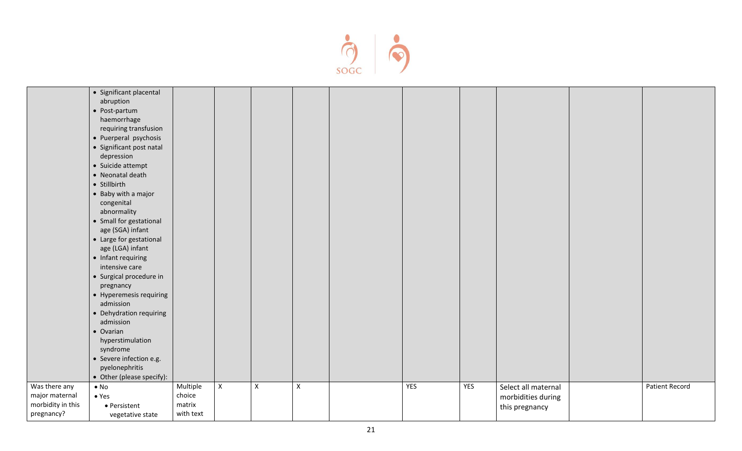

|                   | • Significant placental             |           |             |             |              |     |     |                     |                       |
|-------------------|-------------------------------------|-----------|-------------|-------------|--------------|-----|-----|---------------------|-----------------------|
|                   | abruption                           |           |             |             |              |     |     |                     |                       |
|                   | • Post-partum                       |           |             |             |              |     |     |                     |                       |
|                   | haemorrhage                         |           |             |             |              |     |     |                     |                       |
|                   | requiring transfusion               |           |             |             |              |     |     |                     |                       |
|                   | • Puerperal psychosis               |           |             |             |              |     |     |                     |                       |
|                   | • Significant post natal            |           |             |             |              |     |     |                     |                       |
|                   | depression                          |           |             |             |              |     |     |                     |                       |
|                   | • Suicide attempt                   |           |             |             |              |     |     |                     |                       |
|                   | • Neonatal death                    |           |             |             |              |     |     |                     |                       |
|                   | • Stillbirth                        |           |             |             |              |     |     |                     |                       |
|                   | • Baby with a major                 |           |             |             |              |     |     |                     |                       |
|                   | congenital                          |           |             |             |              |     |     |                     |                       |
|                   | abnormality                         |           |             |             |              |     |     |                     |                       |
|                   | • Small for gestational             |           |             |             |              |     |     |                     |                       |
|                   | age (SGA) infant                    |           |             |             |              |     |     |                     |                       |
|                   | • Large for gestational             |           |             |             |              |     |     |                     |                       |
|                   | age (LGA) infant                    |           |             |             |              |     |     |                     |                       |
|                   | • Infant requiring                  |           |             |             |              |     |     |                     |                       |
|                   | intensive care                      |           |             |             |              |     |     |                     |                       |
|                   | • Surgical procedure in             |           |             |             |              |     |     |                     |                       |
|                   | pregnancy                           |           |             |             |              |     |     |                     |                       |
|                   | • Hyperemesis requiring             |           |             |             |              |     |     |                     |                       |
|                   | admission                           |           |             |             |              |     |     |                     |                       |
|                   | • Dehydration requiring             |           |             |             |              |     |     |                     |                       |
|                   | admission                           |           |             |             |              |     |     |                     |                       |
|                   | • Ovarian                           |           |             |             |              |     |     |                     |                       |
|                   | hyperstimulation                    |           |             |             |              |     |     |                     |                       |
|                   | syndrome<br>• Severe infection e.g. |           |             |             |              |     |     |                     |                       |
|                   | pyelonephritis                      |           |             |             |              |     |     |                     |                       |
|                   | • Other (please specify):           |           |             |             |              |     |     |                     |                       |
| Was there any     | $\bullet$ No                        | Multiple  | $\mathsf X$ | $\mathsf X$ | $\mathsf{X}$ | YES | YES | Select all maternal | <b>Patient Record</b> |
| major maternal    | $\bullet$ Yes                       | choice    |             |             |              |     |     |                     |                       |
| morbidity in this | • Persistent                        | matrix    |             |             |              |     |     | morbidities during  |                       |
| pregnancy?        | vegetative state                    | with text |             |             |              |     |     | this pregnancy      |                       |
|                   |                                     |           |             |             |              |     |     |                     |                       |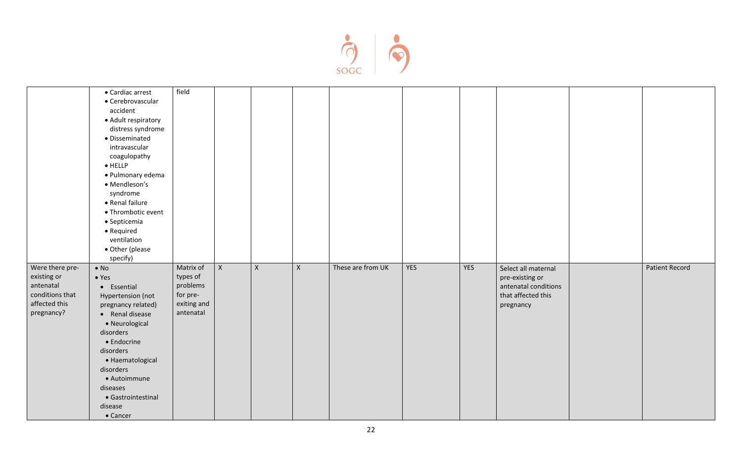

|                 | • Cardiac arrest            | field       |              |              |                           |                   |     |     |                      |                       |
|-----------------|-----------------------------|-------------|--------------|--------------|---------------------------|-------------------|-----|-----|----------------------|-----------------------|
|                 | • Cerebrovascular           |             |              |              |                           |                   |     |     |                      |                       |
|                 | accident                    |             |              |              |                           |                   |     |     |                      |                       |
|                 | • Adult respiratory         |             |              |              |                           |                   |     |     |                      |                       |
|                 | distress syndrome           |             |              |              |                           |                   |     |     |                      |                       |
|                 | · Disseminated              |             |              |              |                           |                   |     |     |                      |                       |
|                 | intravascular               |             |              |              |                           |                   |     |     |                      |                       |
|                 | coagulopathy                |             |              |              |                           |                   |     |     |                      |                       |
|                 | $\bullet$ HELLP             |             |              |              |                           |                   |     |     |                      |                       |
|                 | • Pulmonary edema           |             |              |              |                           |                   |     |     |                      |                       |
|                 | · Mendleson's               |             |              |              |                           |                   |     |     |                      |                       |
|                 | syndrome                    |             |              |              |                           |                   |     |     |                      |                       |
|                 | • Renal failure             |             |              |              |                           |                   |     |     |                      |                       |
|                 | • Thrombotic event          |             |              |              |                           |                   |     |     |                      |                       |
|                 | • Septicemia                |             |              |              |                           |                   |     |     |                      |                       |
|                 | • Required                  |             |              |              |                           |                   |     |     |                      |                       |
|                 | ventilation                 |             |              |              |                           |                   |     |     |                      |                       |
|                 | • Other (please             |             |              |              |                           |                   |     |     |                      |                       |
|                 | specify)                    |             |              |              |                           |                   |     |     |                      |                       |
| Were there pre- | $\bullet$ No                | Matrix of   | $\mathsf{X}$ | $\mathsf{X}$ | $\boldsymbol{\mathsf{X}}$ | These are from UK | YES | YES | Select all maternal  | <b>Patient Record</b> |
| existing or     | $\bullet$ Yes               | types of    |              |              |                           |                   |     |     | pre-existing or      |                       |
| antenatal       | • Essential                 | problems    |              |              |                           |                   |     |     | antenatal conditions |                       |
| conditions that | Hypertension (not           | for pre-    |              |              |                           |                   |     |     | that affected this   |                       |
| affected this   | pregnancy related)          | exiting and |              |              |                           |                   |     |     | pregnancy            |                       |
| pregnancy?      | • Renal disease             | antenatal   |              |              |                           |                   |     |     |                      |                       |
|                 |                             |             |              |              |                           |                   |     |     |                      |                       |
|                 | • Neurological<br>disorders |             |              |              |                           |                   |     |     |                      |                       |
|                 | • Endocrine                 |             |              |              |                           |                   |     |     |                      |                       |
|                 | disorders                   |             |              |              |                           |                   |     |     |                      |                       |
|                 |                             |             |              |              |                           |                   |     |     |                      |                       |
|                 | · Haematological            |             |              |              |                           |                   |     |     |                      |                       |
|                 | disorders                   |             |              |              |                           |                   |     |     |                      |                       |
|                 | · Autoimmune                |             |              |              |                           |                   |     |     |                      |                       |
|                 | diseases                    |             |              |              |                           |                   |     |     |                      |                       |
|                 | • Gastrointestinal          |             |              |              |                           |                   |     |     |                      |                       |
|                 |                             |             |              |              |                           |                   |     |     |                      |                       |
|                 | disease<br>• Cancer         |             |              |              |                           |                   |     |     |                      |                       |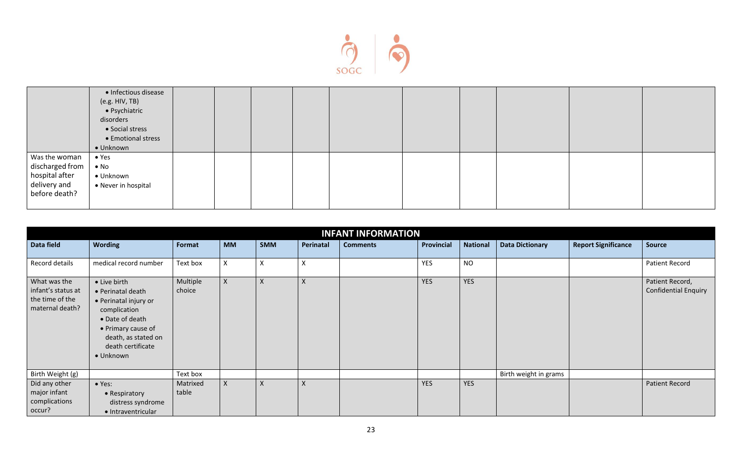

|                                                                                     | · Infectious disease<br>(e.g. HIV, TB)<br>• Psychiatric<br>disorders<br>• Social stress<br>• Emotional stress<br>• Unknown |  |  |  |  |  |
|-------------------------------------------------------------------------------------|----------------------------------------------------------------------------------------------------------------------------|--|--|--|--|--|
| Was the woman<br>discharged from<br>hospital after<br>delivery and<br>before death? | $\bullet$ Yes<br>$\bullet$ No<br>$\bullet$ Unknown<br>• Never in hospital                                                  |  |  |  |  |  |

| <b>INFANT INFORMATION</b>                                                |                                                                                                                                                                              |                    |                           |            |           |                 |            |                 |                        |                            |                                                |
|--------------------------------------------------------------------------|------------------------------------------------------------------------------------------------------------------------------------------------------------------------------|--------------------|---------------------------|------------|-----------|-----------------|------------|-----------------|------------------------|----------------------------|------------------------------------------------|
| Data field                                                               | Wording                                                                                                                                                                      | Format             | <b>MM</b>                 | <b>SMM</b> | Perinatal | <b>Comments</b> | Provincial | <b>National</b> | <b>Data Dictionary</b> | <b>Report Significance</b> | <b>Source</b>                                  |
| Record details                                                           | medical record number                                                                                                                                                        | Text box           | $\pmb{\mathsf{X}}$        | $\times$   | X         |                 | <b>YES</b> | <b>NO</b>       |                        |                            | Patient Record                                 |
| What was the<br>infant's status at<br>the time of the<br>maternal death? | • Live birth<br>• Perinatal death<br>• Perinatal injury or<br>complication<br>• Date of death<br>• Primary cause of<br>death, as stated on<br>death certificate<br>• Unknown | Multiple<br>choice | $\boldsymbol{\mathsf{X}}$ | $\times$   | $\sf X$   |                 | <b>YES</b> | YES             |                        |                            | Patient Record,<br><b>Confidential Enquiry</b> |
| Birth Weight (g)                                                         |                                                                                                                                                                              | Text box           |                           |            |           |                 |            |                 | Birth weight in grams  |                            |                                                |
| Did any other<br>major infant<br>complications<br>occur?                 | • Yes:<br>• Respiratory<br>distress syndrome<br>• Intraventricular                                                                                                           | Matrixed<br>table  | $\mathsf{X}$              | $\times$   | X         |                 | <b>YES</b> | YES             |                        |                            | <b>Patient Record</b>                          |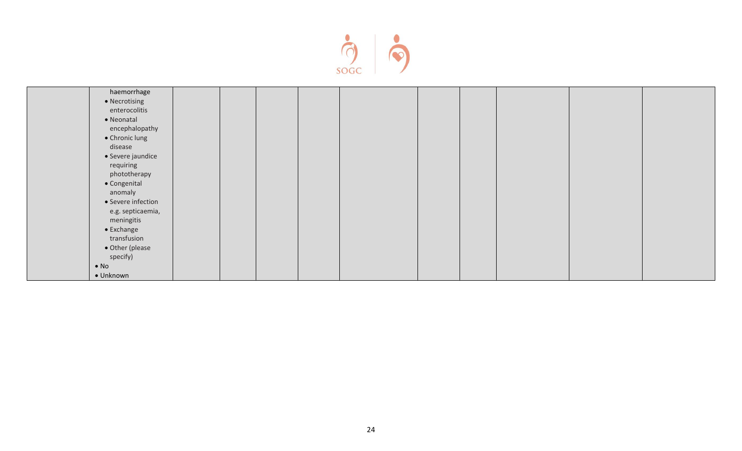

| haemorrhage          |  |  |  |  |  |
|----------------------|--|--|--|--|--|
| • Necrotising        |  |  |  |  |  |
| enterocolitis        |  |  |  |  |  |
| • Neonatal           |  |  |  |  |  |
| encephalopathy       |  |  |  |  |  |
| • Chronic lung       |  |  |  |  |  |
| disease              |  |  |  |  |  |
| • Severe jaundice    |  |  |  |  |  |
| requiring            |  |  |  |  |  |
| phototherapy         |  |  |  |  |  |
| $\bullet$ Congenital |  |  |  |  |  |
| anomaly              |  |  |  |  |  |
| • Severe infection   |  |  |  |  |  |
| e.g. septicaemia,    |  |  |  |  |  |
| meningitis           |  |  |  |  |  |
| • Exchange           |  |  |  |  |  |
| transfusion          |  |  |  |  |  |
| • Other (please      |  |  |  |  |  |
| specify)             |  |  |  |  |  |
| $\bullet$ No         |  |  |  |  |  |
| • Unknown            |  |  |  |  |  |